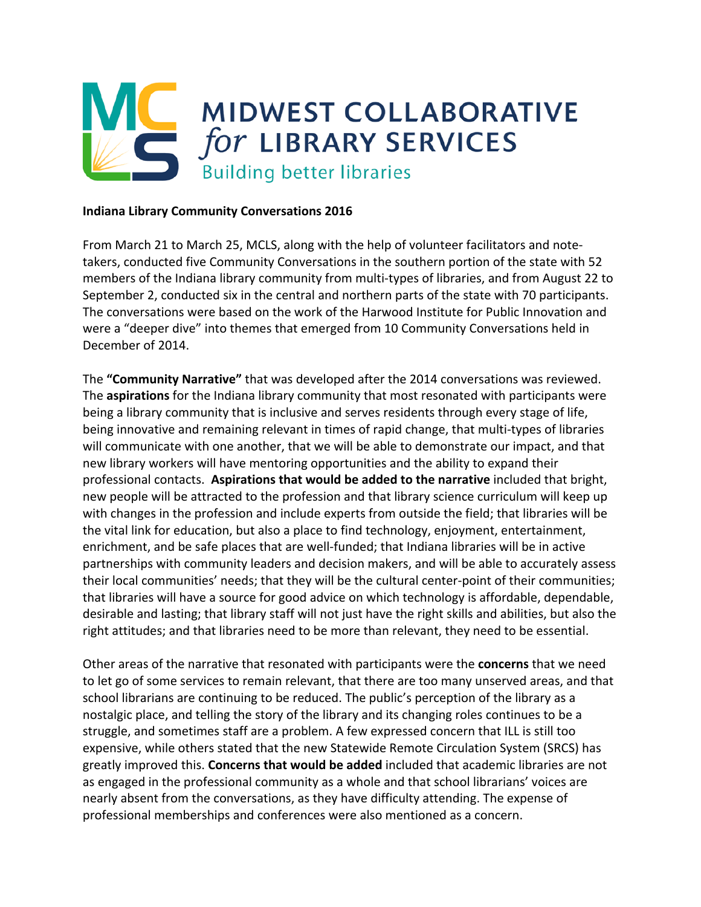

#### **Indiana Library Community Conversations 2016**

From March 21 to March 25, MCLS, along with the help of volunteer facilitators and notetakers, conducted five Community Conversations in the southern portion of the state with 52 members of the Indiana library community from multi-types of libraries, and from August 22 to September 2, conducted six in the central and northern parts of the state with 70 participants. The conversations were based on the work of the Harwood Institute for Public Innovation and were a "deeper dive" into themes that emerged from 10 Community Conversations held in December of 2014.

The "Community Narrative" that was developed after the 2014 conversations was reviewed. The **aspirations** for the Indiana library community that most resonated with participants were being a library community that is inclusive and serves residents through every stage of life, being innovative and remaining relevant in times of rapid change, that multi-types of libraries will communicate with one another, that we will be able to demonstrate our impact, and that new library workers will have mentoring opportunities and the ability to expand their professional contacts. Aspirations that would be added to the narrative included that bright, new people will be attracted to the profession and that library science curriculum will keep up with changes in the profession and include experts from outside the field; that libraries will be the vital link for education, but also a place to find technology, enjoyment, entertainment, enrichment, and be safe places that are well-funded; that Indiana libraries will be in active partnerships with community leaders and decision makers, and will be able to accurately assess their local communities' needs; that they will be the cultural center-point of their communities; that libraries will have a source for good advice on which technology is affordable, dependable, desirable and lasting; that library staff will not just have the right skills and abilities, but also the right attitudes; and that libraries need to be more than relevant, they need to be essential.

Other areas of the narrative that resonated with participants were the **concerns** that we need to let go of some services to remain relevant, that there are too many unserved areas, and that school librarians are continuing to be reduced. The public's perception of the library as a nostalgic place, and telling the story of the library and its changing roles continues to be a struggle, and sometimes staff are a problem. A few expressed concern that ILL is still too expensive, while others stated that the new Statewide Remote Circulation System (SRCS) has greatly improved this. **Concerns that would be added** included that academic libraries are not as engaged in the professional community as a whole and that school librarians' voices are nearly absent from the conversations, as they have difficulty attending. The expense of professional memberships and conferences were also mentioned as a concern.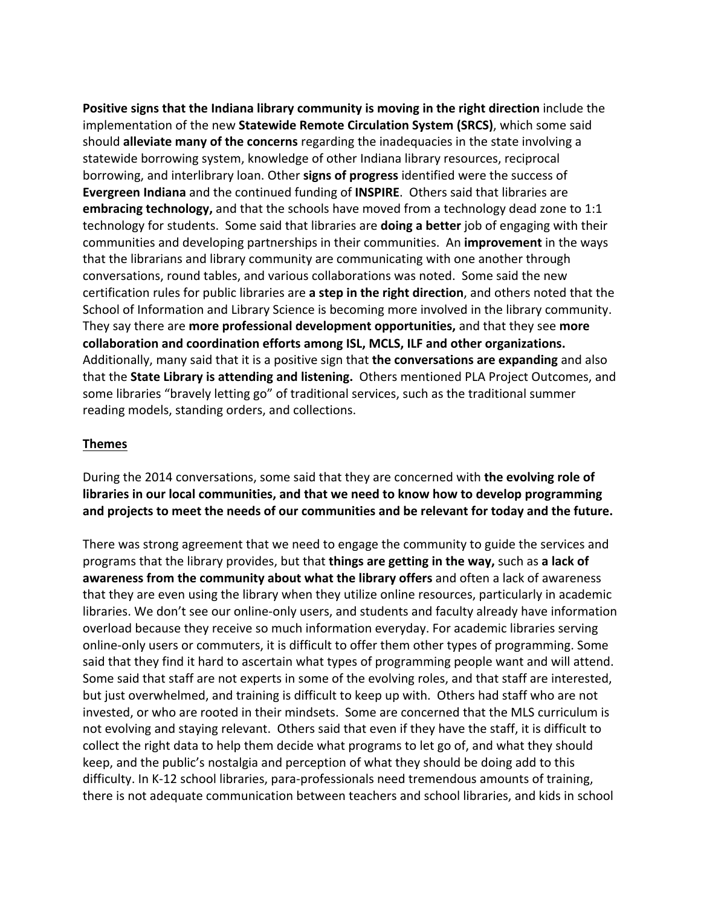**Positive signs that the Indiana library community is moving in the right direction** include the implementation of the new Statewide Remote Circulation System (SRCS), which some said should **alleviate many of the concerns** regarding the inadequacies in the state involving a statewide borrowing system, knowledge of other Indiana library resources, reciprocal borrowing, and interlibrary loan. Other **signs of progress** identified were the success of **Evergreen Indiana** and the continued funding of **INSPIRE**. Others said that libraries are **embracing technology,** and that the schools have moved from a technology dead zone to 1:1 technology for students. Some said that libraries are **doing a better** job of engaging with their communities and developing partnerships in their communities. An **improvement** in the ways that the librarians and library community are communicating with one another through conversations, round tables, and various collaborations was noted. Some said the new certification rules for public libraries are **a step in the right direction**, and others noted that the School of Information and Library Science is becoming more involved in the library community. They say there are **more professional development opportunities**, and that they see **more** collaboration and coordination efforts among ISL, MCLS, ILF and other organizations. Additionally, many said that it is a positive sign that **the conversations are expanding** and also that the **State Library is attending and listening.** Others mentioned PLA Project Outcomes, and some libraries "bravely letting go" of traditional services, such as the traditional summer reading models, standing orders, and collections.

#### **Themes**

During the 2014 conversations, some said that they are concerned with **the evolving role of libraries in our local communities, and that we need to know how to develop programming** and projects to meet the needs of our communities and be relevant for today and the future.

There was strong agreement that we need to engage the community to guide the services and programs that the library provides, but that **things are getting in the way,** such as a lack of **awareness from the community about what the library offers** and often a lack of awareness that they are even using the library when they utilize online resources, particularly in academic libraries. We don't see our online-only users, and students and faculty already have information overload because they receive so much information everyday. For academic libraries serving online-only users or commuters, it is difficult to offer them other types of programming. Some said that they find it hard to ascertain what types of programming people want and will attend. Some said that staff are not experts in some of the evolving roles, and that staff are interested, but just overwhelmed, and training is difficult to keep up with. Others had staff who are not invested, or who are rooted in their mindsets. Some are concerned that the MLS curriculum is not evolving and staying relevant. Others said that even if they have the staff, it is difficult to collect the right data to help them decide what programs to let go of, and what they should keep, and the public's nostalgia and perception of what they should be doing add to this difficulty. In K-12 school libraries, para-professionals need tremendous amounts of training, there is not adequate communication between teachers and school libraries, and kids in school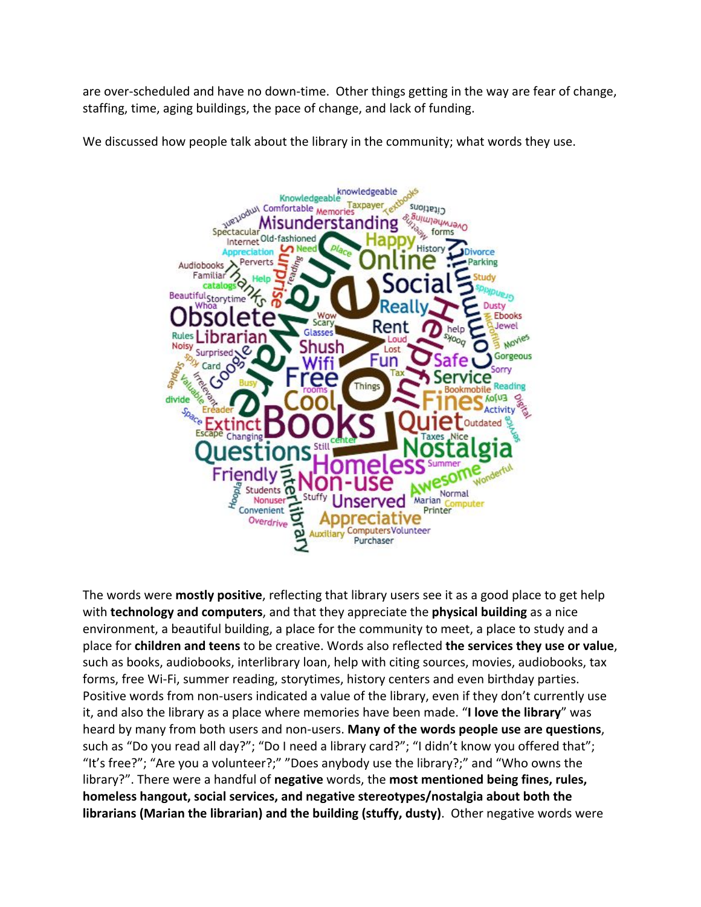are over-scheduled and have no down-time. Other things getting in the way are fear of change, staffing, time, aging buildings, the pace of change, and lack of funding.

We discussed how people talk about the library in the community; what words they use.



The words were **mostly positive**, reflecting that library users see it as a good place to get help with **technology and computers**, and that they appreciate the **physical building** as a nice environment, a beautiful building, a place for the community to meet, a place to study and a place for **children and teens** to be creative. Words also reflected **the services they use or value**, such as books, audiobooks, interlibrary loan, help with citing sources, movies, audiobooks, tax forms, free Wi-Fi, summer reading, storytimes, history centers and even birthday parties. Positive words from non-users indicated a value of the library, even if they don't currently use it, and also the library as a place where memories have been made. "I love the library" was heard by many from both users and non-users. **Many of the words people use are questions**, such as "Do you read all day?"; "Do I need a library card?"; "I didn't know you offered that"; "It's free?"; "Are you a volunteer?;" "Does anybody use the library?;" and "Who owns the library?". There were a handful of negative words, the most mentioned being fines, rules, homeless hangout, social services, and negative stereotypes/nostalgia about both the **librarians (Marian the librarian) and the building (stuffy, dusty)**. Other negative words were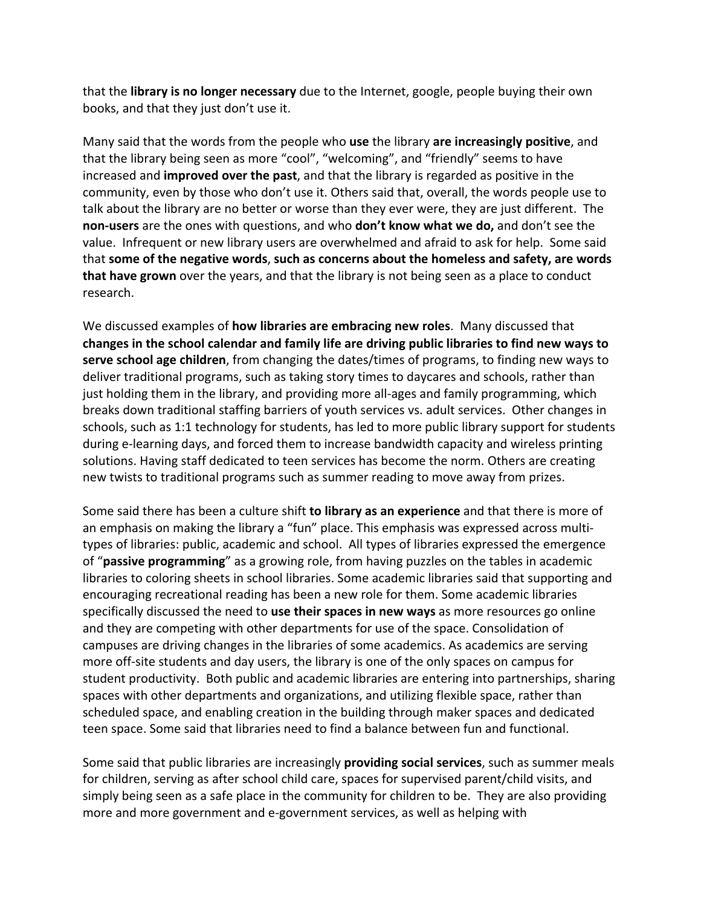that the **library is no longer necessary** due to the Internet, google, people buying their own books, and that they just don't use it.

Many said that the words from the people who use the library are increasingly positive, and that the library being seen as more "cool", "welcoming", and "friendly" seems to have increased and **improved over the past**, and that the library is regarded as positive in the community, even by those who don't use it. Others said that, overall, the words people use to talk about the library are no better or worse than they ever were, they are just different. The **non-users** are the ones with questions, and who **don't know what we do,** and don't see the value. Infrequent or new library users are overwhelmed and afraid to ask for help. Some said that some of the negative words, such as concerns about the homeless and safety, are words **that have grown** over the years, and that the library is not being seen as a place to conduct research.

We discussed examples of **how libraries are embracing new roles**. Many discussed that changes in the school calendar and family life are driving public libraries to find new ways to **serve school age children**, from changing the dates/times of programs, to finding new ways to deliver traditional programs, such as taking story times to daycares and schools, rather than just holding them in the library, and providing more all-ages and family programming, which breaks down traditional staffing barriers of youth services vs. adult services. Other changes in schools, such as 1:1 technology for students, has led to more public library support for students during e-learning days, and forced them to increase bandwidth capacity and wireless printing solutions. Having staff dedicated to teen services has become the norm. Others are creating new twists to traditional programs such as summer reading to move away from prizes.

Some said there has been a culture shift **to library as an experience** and that there is more of an emphasis on making the library a "fun" place. This emphasis was expressed across multitypes of libraries: public, academic and school. All types of libraries expressed the emergence of "**passive programming**" as a growing role, from having puzzles on the tables in academic libraries to coloring sheets in school libraries. Some academic libraries said that supporting and encouraging recreational reading has been a new role for them. Some academic libraries specifically discussed the need to **use their spaces in new ways** as more resources go online and they are competing with other departments for use of the space. Consolidation of campuses are driving changes in the libraries of some academics. As academics are serving more off-site students and day users, the library is one of the only spaces on campus for student productivity. Both public and academic libraries are entering into partnerships, sharing spaces with other departments and organizations, and utilizing flexible space, rather than scheduled space, and enabling creation in the building through maker spaces and dedicated teen space. Some said that libraries need to find a balance between fun and functional.

Some said that public libraries are increasingly **providing social services**, such as summer meals for children, serving as after school child care, spaces for supervised parent/child visits, and simply being seen as a safe place in the community for children to be. They are also providing more and more government and e-government services, as well as helping with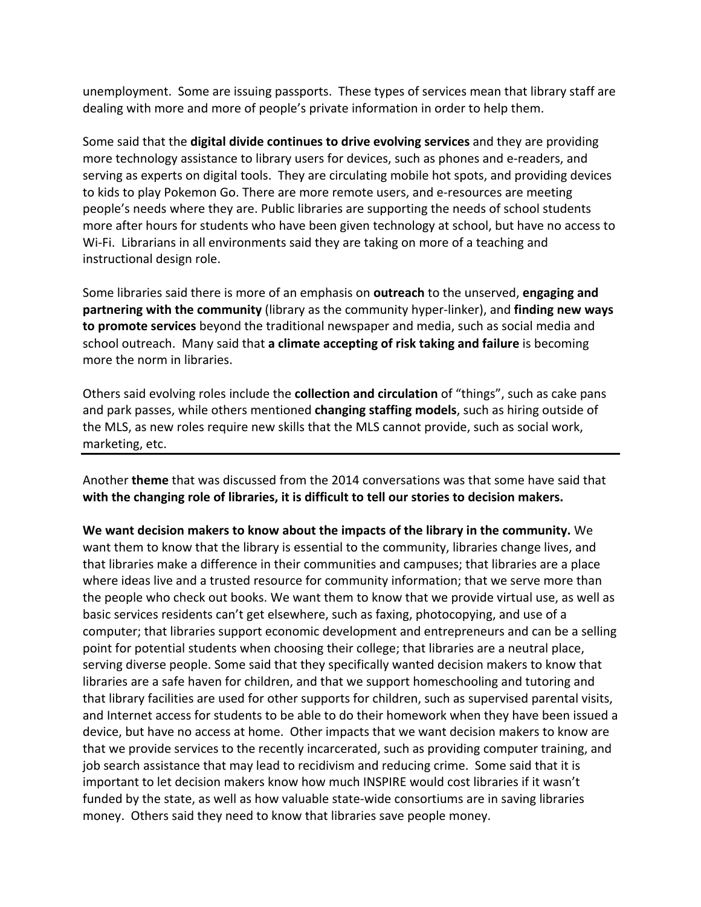unemployment. Some are issuing passports. These types of services mean that library staff are dealing with more and more of people's private information in order to help them.

Some said that the **digital divide continues to drive evolving services** and they are providing more technology assistance to library users for devices, such as phones and e-readers, and serving as experts on digital tools. They are circulating mobile hot spots, and providing devices to kids to play Pokemon Go. There are more remote users, and e-resources are meeting people's needs where they are. Public libraries are supporting the needs of school students more after hours for students who have been given technology at school, but have no access to Wi-Fi. Librarians in all environments said they are taking on more of a teaching and instructional design role.

Some libraries said there is more of an emphasis on **outreach** to the unserved, **engaging and partnering with the community** (library as the community hyper-linker), and **finding new ways to promote services** beyond the traditional newspaper and media, such as social media and school outreach. Many said that **a climate accepting of risk taking and failure** is becoming more the norm in libraries.

Others said evolving roles include the **collection and circulation** of "things", such as cake pans and park passes, while others mentioned **changing staffing models**, such as hiring outside of the MLS, as new roles require new skills that the MLS cannot provide, such as social work, marketing, etc.

Another **theme** that was discussed from the 2014 conversations was that some have said that with the changing role of libraries, it is difficult to tell our stories to decision makers.

**We want decision makers to know about the impacts of the library in the community.** We want them to know that the library is essential to the community, libraries change lives, and that libraries make a difference in their communities and campuses; that libraries are a place where ideas live and a trusted resource for community information; that we serve more than the people who check out books. We want them to know that we provide virtual use, as well as basic services residents can't get elsewhere, such as faxing, photocopying, and use of a computer; that libraries support economic development and entrepreneurs and can be a selling point for potential students when choosing their college; that libraries are a neutral place, serving diverse people. Some said that they specifically wanted decision makers to know that libraries are a safe haven for children, and that we support homeschooling and tutoring and that library facilities are used for other supports for children, such as supervised parental visits, and Internet access for students to be able to do their homework when they have been issued a device, but have no access at home. Other impacts that we want decision makers to know are that we provide services to the recently incarcerated, such as providing computer training, and job search assistance that may lead to recidivism and reducing crime. Some said that it is important to let decision makers know how much INSPIRE would cost libraries if it wasn't funded by the state, as well as how valuable state-wide consortiums are in saving libraries money. Others said they need to know that libraries save people money.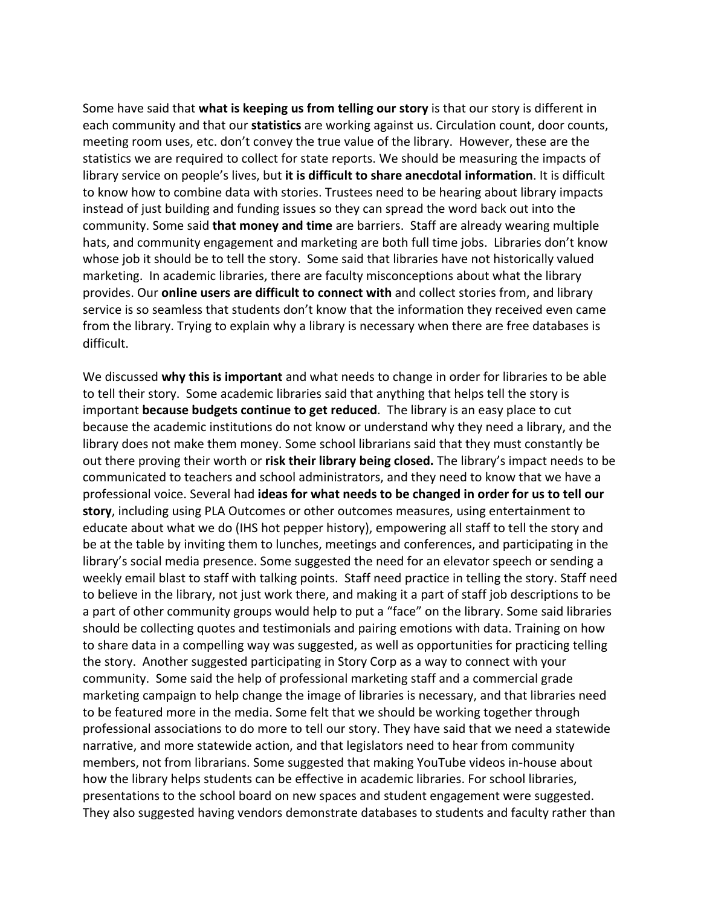Some have said that what is keeping us from telling our story is that our story is different in each community and that our statistics are working against us. Circulation count, door counts, meeting room uses, etc. don't convey the true value of the library. However, these are the statistics we are required to collect for state reports. We should be measuring the impacts of library service on people's lives, but it is difficult to share anecdotal information. It is difficult to know how to combine data with stories. Trustees need to be hearing about library impacts instead of just building and funding issues so they can spread the word back out into the community. Some said **that money and time** are barriers. Staff are already wearing multiple hats, and community engagement and marketing are both full time jobs. Libraries don't know whose job it should be to tell the story. Some said that libraries have not historically valued marketing. In academic libraries, there are faculty misconceptions about what the library provides. Our **online users are difficult to connect with** and collect stories from, and library service is so seamless that students don't know that the information they received even came from the library. Trying to explain why a library is necessary when there are free databases is difficult. 

We discussed why this is important and what needs to change in order for libraries to be able to tell their story. Some academic libraries said that anything that helps tell the story is important **because budgets continue to get reduced**. The library is an easy place to cut because the academic institutions do not know or understand why they need a library, and the library does not make them money. Some school librarians said that they must constantly be out there proving their worth or risk their library being closed. The library's impact needs to be communicated to teachers and school administrators, and they need to know that we have a professional voice. Several had **ideas for what needs to be changed in order for us to tell our story**, including using PLA Outcomes or other outcomes measures, using entertainment to educate about what we do (IHS hot pepper history), empowering all staff to tell the story and be at the table by inviting them to lunches, meetings and conferences, and participating in the library's social media presence. Some suggested the need for an elevator speech or sending a weekly email blast to staff with talking points. Staff need practice in telling the story. Staff need to believe in the library, not just work there, and making it a part of staff job descriptions to be a part of other community groups would help to put a "face" on the library. Some said libraries should be collecting quotes and testimonials and pairing emotions with data. Training on how to share data in a compelling way was suggested, as well as opportunities for practicing telling the story. Another suggested participating in Story Corp as a way to connect with your community. Some said the help of professional marketing staff and a commercial grade marketing campaign to help change the image of libraries is necessary, and that libraries need to be featured more in the media. Some felt that we should be working together through professional associations to do more to tell our story. They have said that we need a statewide narrative, and more statewide action, and that legislators need to hear from community members, not from librarians. Some suggested that making YouTube videos in-house about how the library helps students can be effective in academic libraries. For school libraries, presentations to the school board on new spaces and student engagement were suggested. They also suggested having vendors demonstrate databases to students and faculty rather than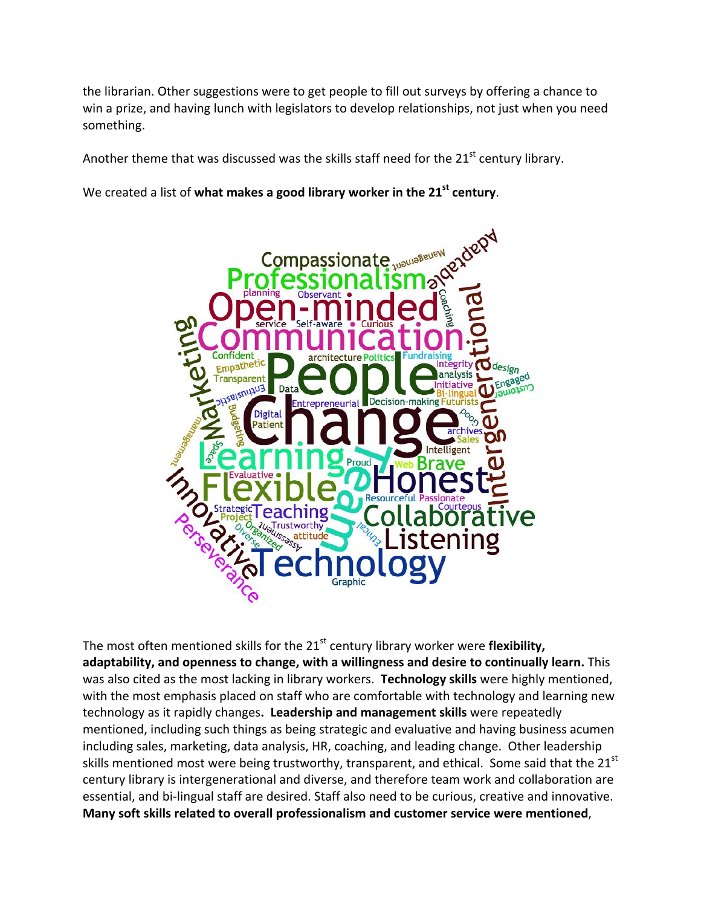the librarian. Other suggestions were to get people to fill out surveys by offering a chance to win a prize, and having lunch with legislators to develop relationships, not just when you need something.

Another theme that was discussed was the skills staff need for the  $21^{st}$  century library.

We created a list of what makes a good library worker in the 21<sup>st</sup> century.



The most often mentioned skills for the 21<sup>st</sup> century library worker were **flexibility**, adaptability, and openness to change, with a willingness and desire to continually learn. This was also cited as the most lacking in library workers. **Technology skills** were highly mentioned, with the most emphasis placed on staff who are comfortable with technology and learning new technology as it rapidly changes. Leadership and management skills were repeatedly mentioned, including such things as being strategic and evaluative and having business acumen including sales, marketing, data analysis, HR, coaching, and leading change. Other leadership skills mentioned most were being trustworthy, transparent, and ethical. Some said that the 21<sup>st</sup> century library is intergenerational and diverse, and therefore team work and collaboration are essential, and bi-lingual staff are desired. Staff also need to be curious, creative and innovative. Many soft skills related to overall professionalism and customer service were mentioned,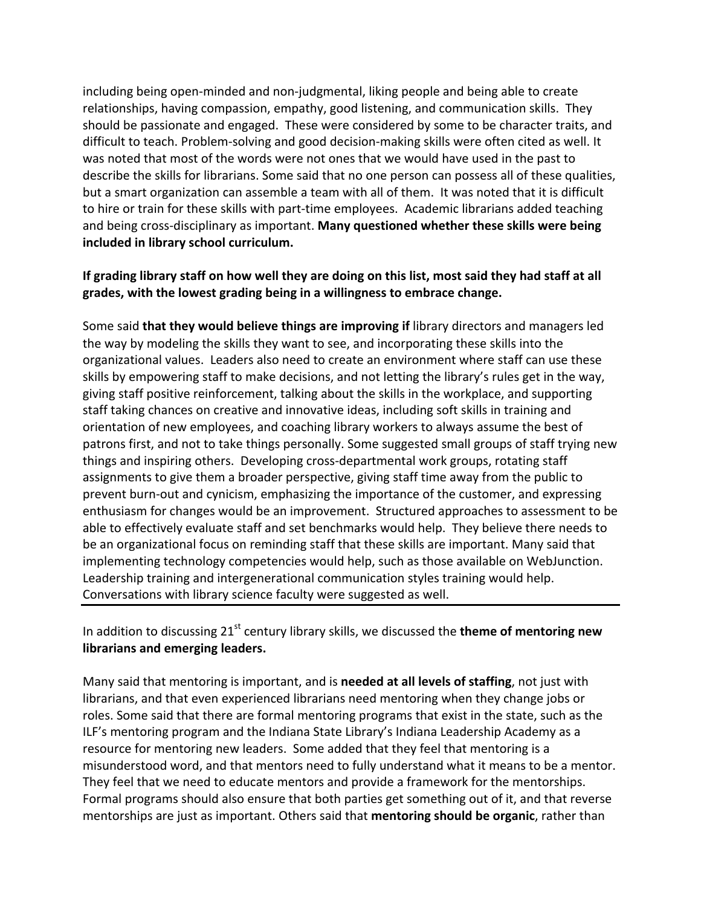including being open-minded and non-judgmental, liking people and being able to create relationships, having compassion, empathy, good listening, and communication skills. They should be passionate and engaged. These were considered by some to be character traits, and difficult to teach. Problem-solving and good decision-making skills were often cited as well. It was noted that most of the words were not ones that we would have used in the past to describe the skills for librarians. Some said that no one person can possess all of these qualities, but a smart organization can assemble a team with all of them. It was noted that it is difficult to hire or train for these skills with part-time employees. Academic librarians added teaching and being cross-disciplinary as important. Many questioned whether these skills were being **included in library school curriculum.** 

## If grading library staff on how well they are doing on this list, most said they had staff at all grades, with the lowest grading being in a willingness to embrace change.

Some said **that they would believe things are improving if** library directors and managers led the way by modeling the skills they want to see, and incorporating these skills into the organizational values. Leaders also need to create an environment where staff can use these skills by empowering staff to make decisions, and not letting the library's rules get in the way, giving staff positive reinforcement, talking about the skills in the workplace, and supporting staff taking chances on creative and innovative ideas, including soft skills in training and orientation of new employees, and coaching library workers to always assume the best of patrons first, and not to take things personally. Some suggested small groups of staff trying new things and inspiring others. Developing cross-departmental work groups, rotating staff assignments to give them a broader perspective, giving staff time away from the public to prevent burn-out and cynicism, emphasizing the importance of the customer, and expressing enthusiasm for changes would be an improvement. Structured approaches to assessment to be able to effectively evaluate staff and set benchmarks would help. They believe there needs to be an organizational focus on reminding staff that these skills are important. Many said that implementing technology competencies would help, such as those available on WebJunction. Leadership training and intergenerational communication styles training would help. Conversations with library science faculty were suggested as well.

# In addition to discussing 21<sup>st</sup> century library skills, we discussed the **theme of mentoring new librarians and emerging leaders.**

Many said that mentoring is important, and is **needed at all levels of staffing**, not just with librarians, and that even experienced librarians need mentoring when they change jobs or roles. Some said that there are formal mentoring programs that exist in the state, such as the ILF's mentoring program and the Indiana State Library's Indiana Leadership Academy as a resource for mentoring new leaders. Some added that they feel that mentoring is a misunderstood word, and that mentors need to fully understand what it means to be a mentor. They feel that we need to educate mentors and provide a framework for the mentorships. Formal programs should also ensure that both parties get something out of it, and that reverse mentorships are just as important. Others said that **mentoring should be organic**, rather than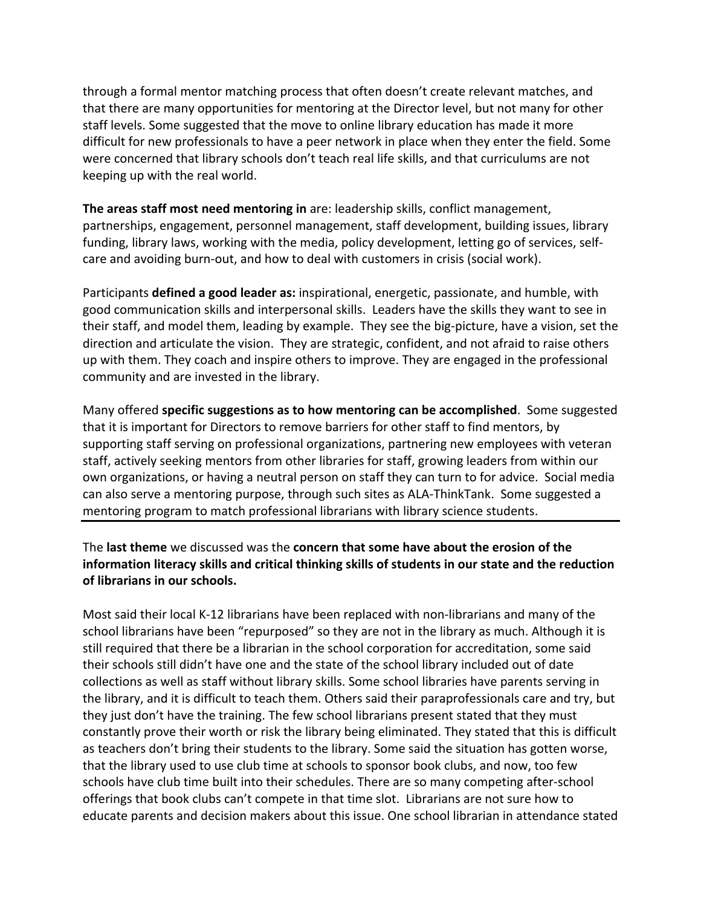through a formal mentor matching process that often doesn't create relevant matches, and that there are many opportunities for mentoring at the Director level, but not many for other staff levels. Some suggested that the move to online library education has made it more difficult for new professionals to have a peer network in place when they enter the field. Some were concerned that library schools don't teach real life skills, and that curriculums are not keeping up with the real world.

**The areas staff most need mentoring in** are: leadership skills, conflict management, partnerships, engagement, personnel management, staff development, building issues, library funding, library laws, working with the media, policy development, letting go of services, selfcare and avoiding burn-out, and how to deal with customers in crisis (social work).

Participants **defined a good leader as:** inspirational, energetic, passionate, and humble, with good communication skills and interpersonal skills. Leaders have the skills they want to see in their staff, and model them, leading by example. They see the big-picture, have a vision, set the direction and articulate the vision. They are strategic, confident, and not afraid to raise others up with them. They coach and inspire others to improve. They are engaged in the professional community and are invested in the library.

Many offered **specific suggestions as to how mentoring can be accomplished**. Some suggested that it is important for Directors to remove barriers for other staff to find mentors, by supporting staff serving on professional organizations, partnering new employees with veteran staff, actively seeking mentors from other libraries for staff, growing leaders from within our own organizations, or having a neutral person on staff they can turn to for advice. Social media can also serve a mentoring purpose, through such sites as ALA-ThinkTank. Some suggested a mentoring program to match professional librarians with library science students.

## The last theme we discussed was the **concern that some have about the erosion of the information literacy skills and critical thinking skills of students in our state and the reduction** of librarians in our schools.

Most said their local K-12 librarians have been replaced with non-librarians and many of the school librarians have been "repurposed" so they are not in the library as much. Although it is still required that there be a librarian in the school corporation for accreditation, some said their schools still didn't have one and the state of the school library included out of date collections as well as staff without library skills. Some school libraries have parents serving in the library, and it is difficult to teach them. Others said their paraprofessionals care and try, but they just don't have the training. The few school librarians present stated that they must constantly prove their worth or risk the library being eliminated. They stated that this is difficult as teachers don't bring their students to the library. Some said the situation has gotten worse, that the library used to use club time at schools to sponsor book clubs, and now, too few schools have club time built into their schedules. There are so many competing after-school offerings that book clubs can't compete in that time slot. Librarians are not sure how to educate parents and decision makers about this issue. One school librarian in attendance stated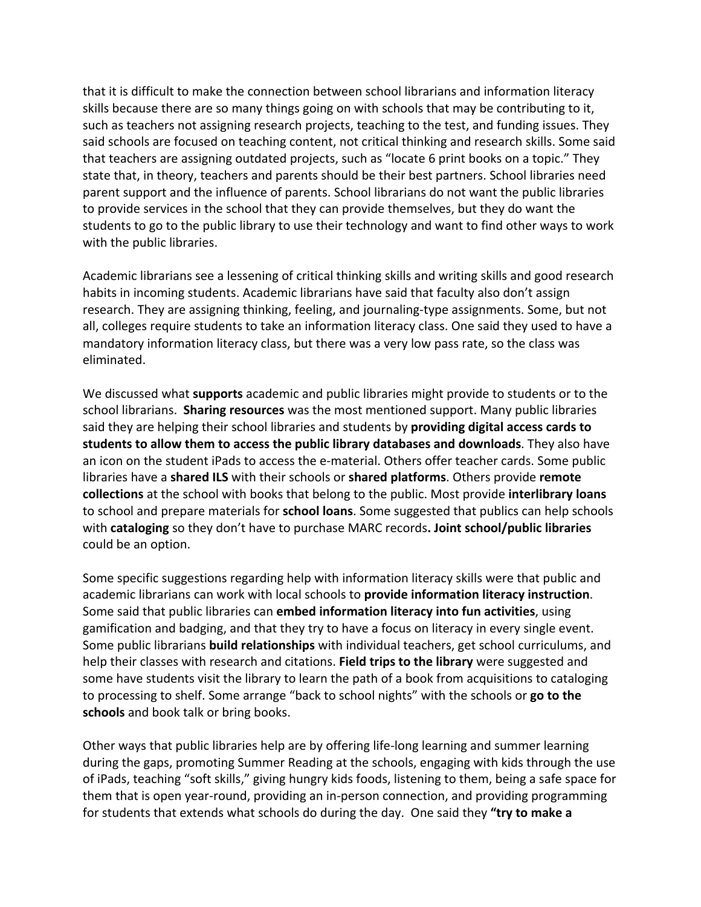that it is difficult to make the connection between school librarians and information literacy skills because there are so many things going on with schools that may be contributing to it, such as teachers not assigning research projects, teaching to the test, and funding issues. They said schools are focused on teaching content, not critical thinking and research skills. Some said that teachers are assigning outdated projects, such as "locate 6 print books on a topic." They state that, in theory, teachers and parents should be their best partners. School libraries need parent support and the influence of parents. School librarians do not want the public libraries to provide services in the school that they can provide themselves, but they do want the students to go to the public library to use their technology and want to find other ways to work with the public libraries.

Academic librarians see a lessening of critical thinking skills and writing skills and good research habits in incoming students. Academic librarians have said that faculty also don't assign research. They are assigning thinking, feeling, and journaling-type assignments. Some, but not all, colleges require students to take an information literacy class. One said they used to have a mandatory information literacy class, but there was a very low pass rate, so the class was eliminated. 

We discussed what **supports** academic and public libraries might provide to students or to the school librarians. **Sharing resources** was the most mentioned support. Many public libraries said they are helping their school libraries and students by **providing digital access cards to students to allow them to access the public library databases and downloads**. They also have an icon on the student iPads to access the e-material. Others offer teacher cards. Some public libraries have a **shared ILS** with their schools or **shared platforms**. Others provide **remote collections** at the school with books that belong to the public. Most provide interlibrary loans to school and prepare materials for **school loans**. Some suggested that publics can help schools with cataloging so they don't have to purchase MARC records. Joint school/public libraries could be an option.

Some specific suggestions regarding help with information literacy skills were that public and academic librarians can work with local schools to **provide information literacy instruction**. Some said that public libraries can **embed information literacy into fun activities**, using gamification and badging, and that they try to have a focus on literacy in every single event. Some public librarians **build relationships** with individual teachers, get school curriculums, and help their classes with research and citations. **Field trips to the library** were suggested and some have students visit the library to learn the path of a book from acquisitions to cataloging to processing to shelf. Some arrange "back to school nights" with the schools or **go to the** schools and book talk or bring books.

Other ways that public libraries help are by offering life-long learning and summer learning during the gaps, promoting Summer Reading at the schools, engaging with kids through the use of iPads, teaching "soft skills," giving hungry kids foods, listening to them, being a safe space for them that is open year-round, providing an in-person connection, and providing programming for students that extends what schools do during the day. One said they "try to make a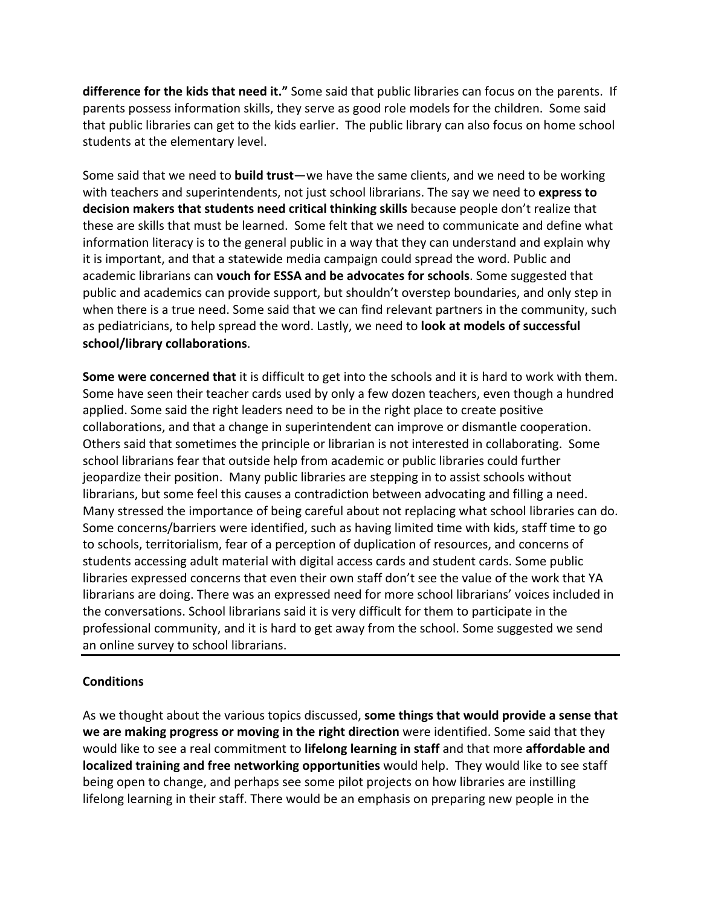**difference for the kids that need it."** Some said that public libraries can focus on the parents. If parents possess information skills, they serve as good role models for the children. Some said that public libraries can get to the kids earlier. The public library can also focus on home school students at the elementary level.

Some said that we need to **build trust**—we have the same clients, and we need to be working with teachers and superintendents, not just school librarians. The say we need to **express to decision makers that students need critical thinking skills** because people don't realize that these are skills that must be learned. Some felt that we need to communicate and define what information literacy is to the general public in a way that they can understand and explain why it is important, and that a statewide media campaign could spread the word. Public and academic librarians can **vouch for ESSA and be advocates for schools**. Some suggested that public and academics can provide support, but shouldn't overstep boundaries, and only step in when there is a true need. Some said that we can find relevant partners in the community, such as pediatricians, to help spread the word. Lastly, we need to **look at models of successful school/library collaborations**. 

**Some were concerned that** it is difficult to get into the schools and it is hard to work with them. Some have seen their teacher cards used by only a few dozen teachers, even though a hundred applied. Some said the right leaders need to be in the right place to create positive collaborations, and that a change in superintendent can improve or dismantle cooperation. Others said that sometimes the principle or librarian is not interested in collaborating. Some school librarians fear that outside help from academic or public libraries could further jeopardize their position. Many public libraries are stepping in to assist schools without librarians, but some feel this causes a contradiction between advocating and filling a need. Many stressed the importance of being careful about not replacing what school libraries can do. Some concerns/barriers were identified, such as having limited time with kids, staff time to go to schools, territorialism, fear of a perception of duplication of resources, and concerns of students accessing adult material with digital access cards and student cards. Some public libraries expressed concerns that even their own staff don't see the value of the work that YA librarians are doing. There was an expressed need for more school librarians' voices included in the conversations. School librarians said it is very difficult for them to participate in the professional community, and it is hard to get away from the school. Some suggested we send an online survey to school librarians.

### **Conditions**

As we thought about the various topics discussed, **some things that would provide a sense that we are making progress or moving in the right direction** were identified. Some said that they would like to see a real commitment to lifelong learning in staff and that more affordable and **localized training and free networking opportunities** would help. They would like to see staff being open to change, and perhaps see some pilot projects on how libraries are instilling lifelong learning in their staff. There would be an emphasis on preparing new people in the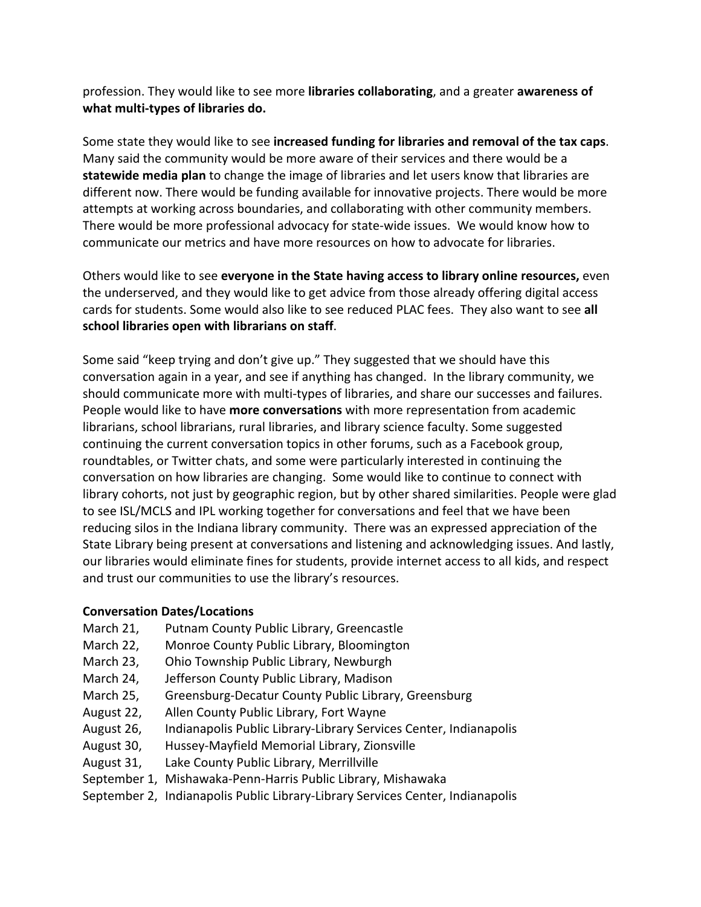profession. They would like to see more **libraries collaborating**, and a greater **awareness of** what multi-types of libraries do.

Some state they would like to see increased funding for libraries and removal of the tax caps. Many said the community would be more aware of their services and there would be a **statewide media plan** to change the image of libraries and let users know that libraries are different now. There would be funding available for innovative projects. There would be more attempts at working across boundaries, and collaborating with other community members. There would be more professional advocacy for state-wide issues. We would know how to communicate our metrics and have more resources on how to advocate for libraries.

Others would like to see everyone in the State having access to library online resources, even the underserved, and they would like to get advice from those already offering digital access cards for students. Some would also like to see reduced PLAC fees. They also want to see all school libraries open with librarians on staff.

Some said "keep trying and don't give up." They suggested that we should have this conversation again in a year, and see if anything has changed. In the library community, we should communicate more with multi-types of libraries, and share our successes and failures. People would like to have **more conversations** with more representation from academic librarians, school librarians, rural libraries, and library science faculty. Some suggested continuing the current conversation topics in other forums, such as a Facebook group, roundtables, or Twitter chats, and some were particularly interested in continuing the conversation on how libraries are changing. Some would like to continue to connect with library cohorts, not just by geographic region, but by other shared similarities. People were glad to see ISL/MCLS and IPL working together for conversations and feel that we have been reducing silos in the Indiana library community. There was an expressed appreciation of the State Library being present at conversations and listening and acknowledging issues. And lastly, our libraries would eliminate fines for students, provide internet access to all kids, and respect and trust our communities to use the library's resources.

#### **Conversation Dates/Locations**

- March 21, Putnam County Public Library, Greencastle
- March 22, Monroe County Public Library, Bloomington
- March 23, Ohio Township Public Library, Newburgh
- March 24, Jefferson County Public Library, Madison
- March 25, Greensburg-Decatur County Public Library, Greensburg
- August 22, Allen County Public Library, Fort Wayne
- August 26, Indianapolis Public Library-Library Services Center, Indianapolis
- August 30, Hussey-Mayfield Memorial Library, Zionsville
- August 31, Lake County Public Library, Merrillville
- September 1, Mishawaka-Penn-Harris Public Library, Mishawaka
- September 2, Indianapolis Public Library-Library Services Center, Indianapolis